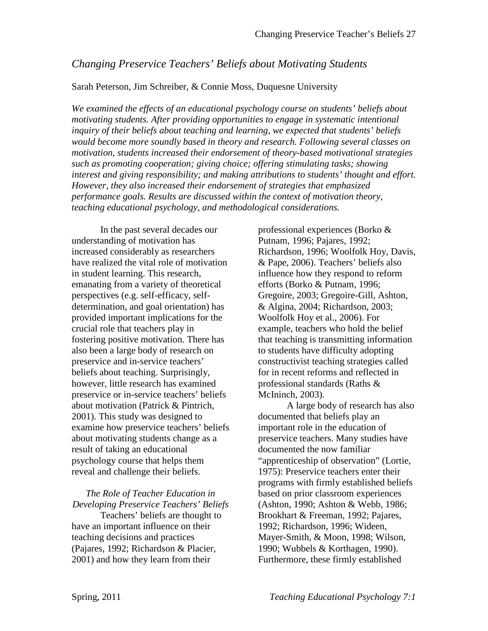# *Changing Preservice Teachers' Beliefs about Motivating Students*

#### Sarah Peterson, Jim Schreiber, & Connie Moss, Duquesne University

*We examined the effects of an educational psychology course on students' beliefs about motivating students. After providing opportunities to engage in systematic intentional inquiry of their beliefs about teaching and learning, we expected that students' beliefs would become more soundly based in theory and research. Following several classes on motivation, students increased their endorsement of theory-based motivational strategies such as promoting cooperation; giving choice; offering stimulating tasks; showing interest and giving responsibility; and making attributions to students' thought and effort. However, they also increased their endorsement of strategies that emphasized performance goals. Results are discussed within the context of motivation theory, teaching educational psychology, and methodological considerations.* 

In the past several decades our understanding of motivation has increased considerably as researchers have realized the vital role of motivation in student learning. This research, emanating from a variety of theoretical perspectives (e.g. self-efficacy, selfdetermination, and goal orientation) has provided important implications for the crucial role that teachers play in fostering positive motivation. There has also been a large body of research on preservice and in-service teachers' beliefs about teaching. Surprisingly, however, little research has examined preservice or in-service teachers' beliefs about motivation (Patrick & Pintrich, 2001). This study was designed to examine how preservice teachers' beliefs about motivating students change as a result of taking an educational psychology course that helps them reveal and challenge their beliefs.

# *The Role of Teacher Education in Developing Preservice Teachers' Beliefs*

Teachers' beliefs are thought to have an important influence on their teaching decisions and practices (Pajares, 1992; Richardson & Placier, 2001) and how they learn from their

professional experiences (Borko & Putnam, 1996; Pajares, 1992; Richardson, 1996; Woolfolk Hoy, Davis, & Pape, 2006). Teachers' beliefs also influence how they respond to reform efforts (Borko & Putnam, 1996; Gregoire, 2003; Gregoire-Gill, Ashton, & Algina, 2004; Richardson, 2003; Woolfolk Hoy et al., 2006). For example, teachers who hold the belief that teaching is transmitting information to students have difficulty adopting constructivist teaching strategies called for in recent reforms and reflected in professional standards (Raths & McIninch, 2003).

A large body of research has also documented that beliefs play an important role in the education of preservice teachers. Many studies have documented the now familiar "apprenticeship of observation" (Lortie, 1975): Preservice teachers enter their programs with firmly established beliefs based on prior classroom experiences (Ashton, 1990; Ashton & Webb, 1986; Brookhart & Freeman, 1992; Pajares, 1992; Richardson, 1996; Wideen, Mayer-Smith, & Moon, 1998; Wilson, 1990; Wubbels & Korthagen, 1990). Furthermore, these firmly established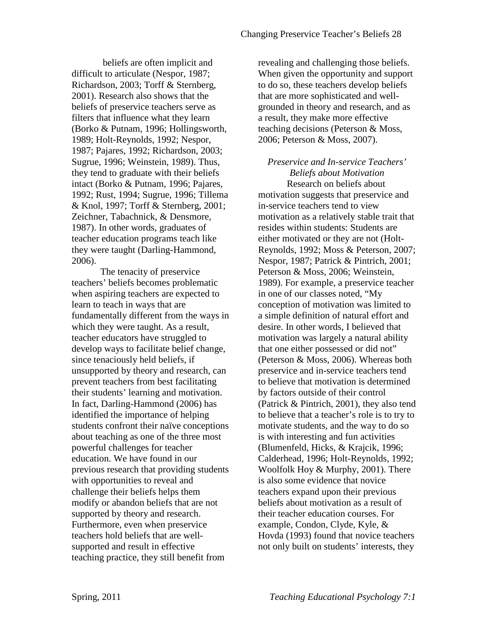beliefs are often implicit and difficult to articulate (Nespor, 1987; Richardson, 2003; Torff & Sternberg, 2001). Research also shows that the beliefs of preservice teachers serve as filters that influence what they learn (Borko & Putnam, 1996; Hollingsworth, 1989; Holt-Reynolds, 1992; Nespor, 1987; Pajares, 1992; Richardson, 2003; Sugrue, 1996; Weinstein, 1989). Thus, they tend to graduate with their beliefs intact (Borko & Putnam, 1996; Pajares, 1992; Rust, 1994; Sugrue, 1996; Tillema & Knol, 1997; Torff & Sternberg, 2001; Zeichner, Tabachnick, & Densmore, 1987). In other words, graduates of teacher education programs teach like they were taught (Darling-Hammond, 2006).

The tenacity of preservice teachers' beliefs becomes problematic when aspiring teachers are expected to learn to teach in ways that are fundamentally different from the ways in which they were taught. As a result, teacher educators have struggled to develop ways to facilitate belief change, since tenaciously held beliefs, if unsupported by theory and research, can prevent teachers from best facilitating their students' learning and motivation. In fact, Darling-Hammond (2006) has identified the importance of helping students confront their naïve conceptions about teaching as one of the three most powerful challenges for teacher education. We have found in our previous research that providing students with opportunities to reveal and challenge their beliefs helps them modify or abandon beliefs that are not supported by theory and research. Furthermore, even when preservice teachers hold beliefs that are wellsupported and result in effective teaching practice, they still benefit from

revealing and challenging those beliefs. When given the opportunity and support to do so, these teachers develop beliefs that are more sophisticated and wellgrounded in theory and research, and as a result, they make more effective teaching decisions (Peterson & Moss, 2006; Peterson & Moss, 2007).

*Preservice and In-service Teachers' Beliefs about Motivation* Research on beliefs about motivation suggests that preservice and in-service teachers tend to view motivation as a relatively stable trait that resides within students: Students are either motivated or they are not (Holt-Reynolds, 1992; Moss & Peterson, 2007; Nespor, 1987; Patrick & Pintrich, 2001; Peterson & Moss, 2006; Weinstein, 1989). For example, a preservice teacher in one of our classes noted, "My conception of motivation was limited to a simple definition of natural effort and desire. In other words, I believed that motivation was largely a natural ability that one either possessed or did not" (Peterson & Moss, 2006). Whereas both preservice and in-service teachers tend to believe that motivation is determined by factors outside of their control (Patrick & Pintrich, 2001), they also tend to believe that a teacher's role is to try to motivate students, and the way to do so is with interesting and fun activities (Blumenfeld, Hicks, & Krajcik, 1996; Calderhead, 1996; Holt-Reynolds, 1992; Woolfolk Hoy & Murphy, 2001). There is also some evidence that novice teachers expand upon their previous beliefs about motivation as a result of their teacher education courses. For example, Condon, Clyde, Kyle, & Hovda (1993) found that novice teachers not only built on students' interests, they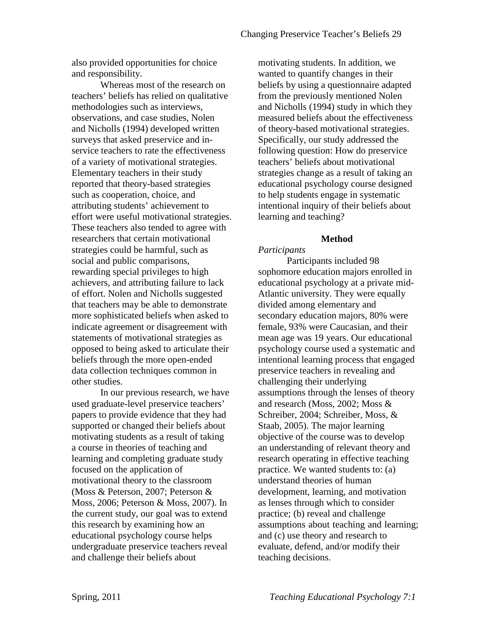also provided opportunities for choice and responsibility.

Whereas most of the research on teachers' beliefs has relied on qualitative methodologies such as interviews, observations, and case studies, Nolen and Nicholls (1994) developed written surveys that asked preservice and inservice teachers to rate the effectiveness of a variety of motivational strategies. Elementary teachers in their study reported that theory-based strategies such as cooperation, choice, and attributing students' achievement to effort were useful motivational strategies. These teachers also tended to agree with researchers that certain motivational strategies could be harmful, such as social and public comparisons, rewarding special privileges to high achievers, and attributing failure to lack of effort. Nolen and Nicholls suggested that teachers may be able to demonstrate more sophisticated beliefs when asked to indicate agreement or disagreement with statements of motivational strategies as opposed to being asked to articulate their beliefs through the more open-ended data collection techniques common in other studies.

In our previous research, we have used graduate-level preservice teachers' papers to provide evidence that they had supported or changed their beliefs about motivating students as a result of taking a course in theories of teaching and learning and completing graduate study focused on the application of motivational theory to the classroom (Moss & Peterson, 2007; Peterson & Moss, 2006; Peterson & Moss, 2007). In the current study, our goal was to extend this research by examining how an educational psychology course helps undergraduate preservice teachers reveal and challenge their beliefs about

motivating students. In addition, we wanted to quantify changes in their beliefs by using a questionnaire adapted from the previously mentioned Nolen and Nicholls (1994) study in which they measured beliefs about the effectiveness of theory-based motivational strategies. Specifically, our study addressed the following question: How do preservice teachers' beliefs about motivational strategies change as a result of taking an educational psychology course designed to help students engage in systematic intentional inquiry of their beliefs about learning and teaching?

# **Method**

# *Participants*

Participants included 98 sophomore education majors enrolled in educational psychology at a private mid-Atlantic university. They were equally divided among elementary and secondary education majors, 80% were female, 93% were Caucasian, and their mean age was 19 years. Our educational psychology course used a systematic and intentional learning process that engaged preservice teachers in revealing and challenging their underlying assumptions through the lenses of theory and research (Moss, 2002; Moss & Schreiber, 2004; Schreiber, Moss, & Staab, 2005). The major learning objective of the course was to develop an understanding of relevant theory and research operating in effective teaching practice. We wanted students to: (a) understand theories of human development, learning, and motivation as lenses through which to consider practice; (b) reveal and challenge assumptions about teaching and learning; and (c) use theory and research to evaluate, defend, and/or modify their teaching decisions.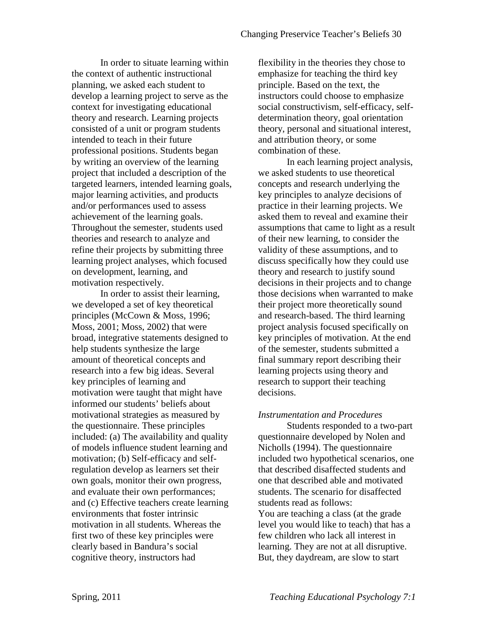In order to situate learning within the context of authentic instructional planning, we asked each student to develop a learning project to serve as the context for investigating educational theory and research. Learning projects consisted of a unit or program students intended to teach in their future professional positions. Students began by writing an overview of the learning project that included a description of the targeted learners, intended learning goals, major learning activities, and products and/or performances used to assess achievement of the learning goals. Throughout the semester, students used theories and research to analyze and refine their projects by submitting three learning project analyses, which focused on development, learning, and motivation respectively.

In order to assist their learning, we developed a set of key theoretical principles (McCown & Moss, 1996; Moss, 2001; Moss, 2002) that were broad, integrative statements designed to help students synthesize the large amount of theoretical concepts and research into a few big ideas. Several key principles of learning and motivation were taught that might have informed our students' beliefs about motivational strategies as measured by the questionnaire. These principles included: (a) The availability and quality of models influence student learning and motivation; (b) Self-efficacy and selfregulation develop as learners set their own goals, monitor their own progress, and evaluate their own performances; and (c) Effective teachers create learning environments that foster intrinsic motivation in all students. Whereas the first two of these key principles were clearly based in Bandura's social cognitive theory, instructors had

flexibility in the theories they chose to emphasize for teaching the third key principle. Based on the text, the instructors could choose to emphasize social constructivism, self-efficacy, selfdetermination theory, goal orientation theory, personal and situational interest, and attribution theory, or some combination of these.

In each learning project analysis, we asked students to use theoretical concepts and research underlying the key principles to analyze decisions of practice in their learning projects. We asked them to reveal and examine their assumptions that came to light as a result of their new learning, to consider the validity of these assumptions, and to discuss specifically how they could use theory and research to justify sound decisions in their projects and to change those decisions when warranted to make their project more theoretically sound and research-based. The third learning project analysis focused specifically on key principles of motivation. At the end of the semester, students submitted a final summary report describing their learning projects using theory and research to support their teaching decisions.

### *Instrumentation and Procedures*

 Students responded to a two-part questionnaire developed by Nolen and Nicholls (1994). The questionnaire included two hypothetical scenarios, one that described disaffected students and one that described able and motivated students. The scenario for disaffected students read as follows: You are teaching a class (at the grade level you would like to teach) that has a few children who lack all interest in learning. They are not at all disruptive. But, they daydream, are slow to start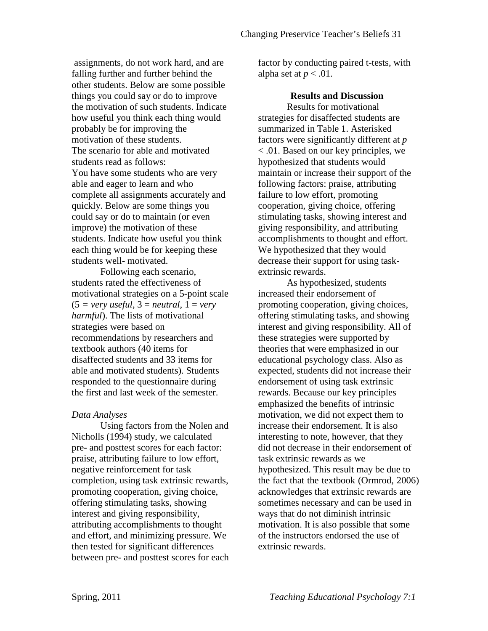assignments, do not work hard, and are falling further and further behind the other students. Below are some possible things you could say or do to improve the motivation of such students. Indicate how useful you think each thing would probably be for improving the motivation of these students. The scenario for able and motivated students read as follows: You have some students who are very able and eager to learn and who complete all assignments accurately and quickly. Below are some things you could say or do to maintain (or even improve) the motivation of these students. Indicate how useful you think each thing would be for keeping these students well- motivated.

Following each scenario, students rated the effectiveness of motivational strategies on a 5-point scale  $(5 = very useful, 3 = neutral, 1 = very)$ *harmful*). The lists of motivational strategies were based on recommendations by researchers and textbook authors (40 items for disaffected students and 33 items for able and motivated students). Students responded to the questionnaire during the first and last week of the semester.

### *Data Analyses*

Using factors from the Nolen and Nicholls (1994) study, we calculated pre- and posttest scores for each factor: praise, attributing failure to low effort, negative reinforcement for task completion, using task extrinsic rewards, promoting cooperation, giving choice, offering stimulating tasks, showing interest and giving responsibility, attributing accomplishments to thought and effort, and minimizing pressure. We then tested for significant differences between pre- and posttest scores for each factor by conducting paired t-tests, with alpha set at  $p < .01$ .

## **Results and Discussion**

Results for motivational strategies for disaffected students are summarized in Table 1. Asterisked factors were significantly different at *p* < .01. Based on our key principles, we hypothesized that students would maintain or increase their support of the following factors: praise, attributing failure to low effort, promoting cooperation, giving choice, offering stimulating tasks, showing interest and giving responsibility, and attributing accomplishments to thought and effort. We hypothesized that they would decrease their support for using taskextrinsic rewards.

As hypothesized, students increased their endorsement of promoting cooperation, giving choices, offering stimulating tasks, and showing interest and giving responsibility. All of these strategies were supported by theories that were emphasized in our educational psychology class. Also as expected, students did not increase their endorsement of using task extrinsic rewards. Because our key principles emphasized the benefits of intrinsic motivation, we did not expect them to increase their endorsement. It is also interesting to note, however, that they did not decrease in their endorsement of task extrinsic rewards as we hypothesized. This result may be due to the fact that the textbook (Ormrod, 2006) acknowledges that extrinsic rewards are sometimes necessary and can be used in ways that do not diminish intrinsic motivation. It is also possible that some of the instructors endorsed the use of extrinsic rewards.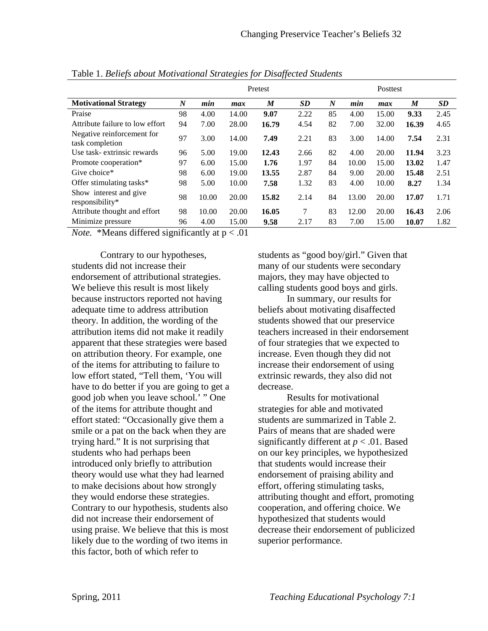|                                               | Pretest          |       |       |       |           |                  | <b>Posttest</b> |       |       |           |  |
|-----------------------------------------------|------------------|-------|-------|-------|-----------|------------------|-----------------|-------|-------|-----------|--|
| <b>Motivational Strategy</b>                  | $\boldsymbol{N}$ | min   | max   | M     | <b>SD</b> | $\boldsymbol{N}$ | min             | max   | M     | <b>SD</b> |  |
| Praise                                        | 98               | 4.00  | 14.00 | 9.07  | 2.22      | 85               | 4.00            | 15.00 | 9.33  | 2.45      |  |
| Attribute failure to low effort               | 94               | 7.00  | 28.00 | 16.79 | 4.54      | 82               | 7.00            | 32.00 | 16.39 | 4.65      |  |
| Negative reinforcement for<br>task completion | 97               | 3.00  | 14.00 | 7.49  | 2.21      | 83               | 3.00            | 14.00 | 7.54  | 2.31      |  |
| Use task-extrinsic rewards                    | 96               | 5.00  | 19.00 | 12.43 | 2.66      | 82               | 4.00            | 20.00 | 11.94 | 3.23      |  |
| Promote cooperation*                          | 97               | 6.00  | 15.00 | 1.76  | 1.97      | 84               | 10.00           | 15.00 | 13.02 | 1.47      |  |
| Give choice*                                  | 98               | 6.00  | 19.00 | 13.55 | 2.87      | 84               | 9.00            | 20.00 | 15.48 | 2.51      |  |
| Offer stimulating tasks*                      | 98               | 5.00  | 10.00 | 7.58  | 1.32      | 83               | 4.00            | 10.00 | 8.27  | 1.34      |  |
| Show interest and give<br>responsibility*     | 98               | 10.00 | 20.00 | 15.82 | 2.14      | 84               | 13.00           | 20.00 | 17.07 | 1.71      |  |
| Attribute thought and effort                  | 98               | 10.00 | 20.00 | 16.05 | 7         | 83               | 12.00           | 20.00 | 16.43 | 2.06      |  |
| Minimize pressure                             | 96               | 4.00  | 15.00 | 9.58  | 2.17      | 83               | 7.00            | 15.00 | 10.07 | 1.82      |  |

Table 1. *Beliefs about Motivational Strategies for Disaffected Students*

*Note.* \*Means differed significantly at  $p < .01$ 

Contrary to our hypotheses, students did not increase their endorsement of attributional strategies. We believe this result is most likely because instructors reported not having adequate time to address attribution theory. In addition, the wording of the attribution items did not make it readily apparent that these strategies were based on attribution theory. For example, one of the items for attributing to failure to low effort stated, "Tell them, 'You will have to do better if you are going to get a good job when you leave school.' " One of the items for attribute thought and effort stated: "Occasionally give them a smile or a pat on the back when they are trying hard." It is not surprising that students who had perhaps been introduced only briefly to attribution theory would use what they had learned to make decisions about how strongly they would endorse these strategies. Contrary to our hypothesis, students also did not increase their endorsement of using praise. We believe that this is most likely due to the wording of two items in this factor, both of which refer to

students as "good boy/girl." Given that many of our students were secondary majors, they may have objected to calling students good boys and girls.

In summary, our results for beliefs about motivating disaffected students showed that our preservice teachers increased in their endorsement of four strategies that we expected to increase. Even though they did not increase their endorsement of using extrinsic rewards, they also did not decrease.

Results for motivational strategies for able and motivated students are summarized in Table 2. Pairs of means that are shaded were significantly different at *p* < .01. Based on our key principles, we hypothesized that students would increase their endorsement of praising ability and effort, offering stimulating tasks, attributing thought and effort, promoting cooperation, and offering choice. We hypothesized that students would decrease their endorsement of publicized superior performance.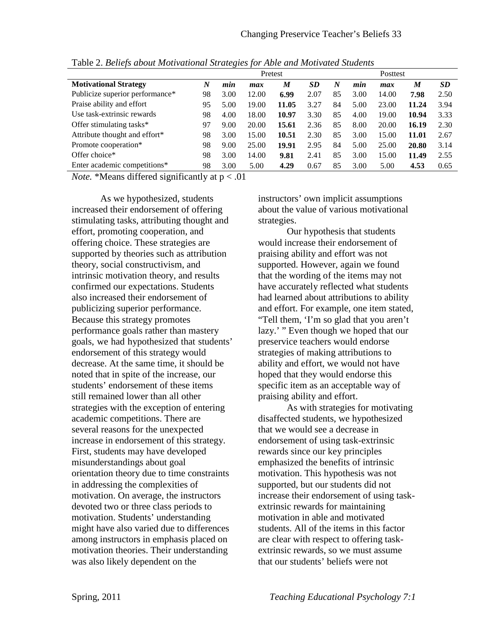|                                 | Pretest          |      |       |       |           |                  |      |       |       |           |
|---------------------------------|------------------|------|-------|-------|-----------|------------------|------|-------|-------|-----------|
| <b>Motivational Strategy</b>    | $\boldsymbol{N}$ | min  | max   | M     | <b>SD</b> | $\boldsymbol{N}$ | min  | max   | M     | <b>SD</b> |
| Publicize superior performance* | 98               | 3.00 | 12.00 | 6.99  | 2.07      | 85               | 3.00 | 14.00 | 7.98  | 2.50      |
| Praise ability and effort       | 95               | 5.00 | 19.00 | 11.05 | 3.27      | 84               | 5.00 | 23.00 | 11.24 | 3.94      |
| Use task-extrinsic rewards      | 98               | 4.00 | 18.00 | 10.97 | 3.30      | 85               | 4.00 | 19.00 | 10.94 | 3.33      |
| Offer stimulating tasks*        | 97               | 9.00 | 20.00 | 15.61 | 2.36      | 85               | 8.00 | 20.00 | 16.19 | 2.30      |
| Attribute thought and effort*   | 98               | 3.00 | 15.00 | 10.51 | 2.30      | 85               | 3.00 | 15.00 | 11.01 | 2.67      |
| Promote cooperation*            | 98               | 9.00 | 25.00 | 19.91 | 2.95      | 84               | 5.00 | 25.00 | 20.80 | 3.14      |
| Offer choice*                   | 98               | 3.00 | 14.00 | 9.81  | 2.41      | 85               | 3.00 | 15.00 | 11.49 | 2.55      |
| Enter academic competitions*    | 98               | 3.00 | 5.00  | 4.29  | 0.67      | 85               | 3.00 | 5.00  | 4.53  | 0.65      |

Table 2. *Beliefs about Motivational Strategies for Able and Motivated Students* 

*Note.* \*Means differed significantly at p < .01

As we hypothesized, students increased their endorsement of offering stimulating tasks, attributing thought and effort, promoting cooperation, and offering choice. These strategies are supported by theories such as attribution theory, social constructivism, and intrinsic motivation theory, and results confirmed our expectations. Students also increased their endorsement of publicizing superior performance. Because this strategy promotes performance goals rather than mastery goals, we had hypothesized that students' endorsement of this strategy would decrease. At the same time, it should be noted that in spite of the increase, our students' endorsement of these items still remained lower than all other strategies with the exception of entering academic competitions. There are several reasons for the unexpected increase in endorsement of this strategy. First, students may have developed misunderstandings about goal orientation theory due to time constraints in addressing the complexities of motivation. On average, the instructors devoted two or three class periods to motivation. Students' understanding might have also varied due to differences among instructors in emphasis placed on motivation theories. Their understanding was also likely dependent on the

instructors' own implicit assumptions about the value of various motivational strategies.

Our hypothesis that students would increase their endorsement of praising ability and effort was not supported. However, again we found that the wording of the items may not have accurately reflected what students had learned about attributions to ability and effort. For example, one item stated, "Tell them, 'I'm so glad that you aren't lazy.' " Even though we hoped that our preservice teachers would endorse strategies of making attributions to ability and effort, we would not have hoped that they would endorse this specific item as an acceptable way of praising ability and effort.

As with strategies for motivating disaffected students, we hypothesized that we would see a decrease in endorsement of using task-extrinsic rewards since our key principles emphasized the benefits of intrinsic motivation. This hypothesis was not supported, but our students did not increase their endorsement of using taskextrinsic rewards for maintaining motivation in able and motivated students. All of the items in this factor are clear with respect to offering taskextrinsic rewards, so we must assume that our students' beliefs were not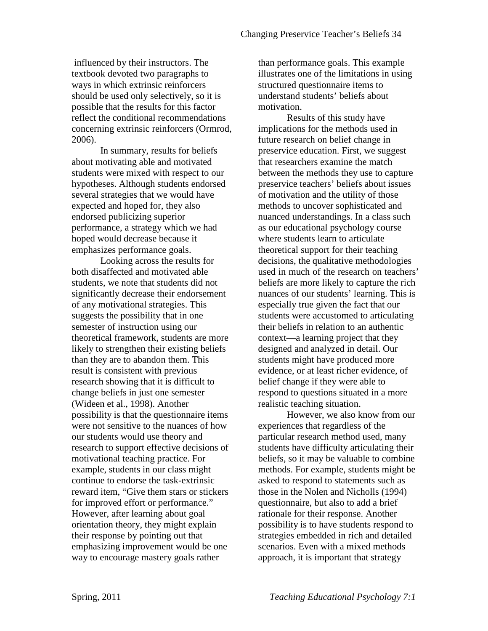influenced by their instructors. The textbook devoted two paragraphs to ways in which extrinsic reinforcers should be used only selectively, so it is possible that the results for this factor reflect the conditional recommendations concerning extrinsic reinforcers (Ormrod, 2006).

In summary, results for beliefs about motivating able and motivated students were mixed with respect to our hypotheses. Although students endorsed several strategies that we would have expected and hoped for, they also endorsed publicizing superior performance, a strategy which we had hoped would decrease because it emphasizes performance goals.

Looking across the results for both disaffected and motivated able students, we note that students did not significantly decrease their endorsement of any motivational strategies. This suggests the possibility that in one semester of instruction using our theoretical framework, students are more likely to strengthen their existing beliefs than they are to abandon them. This result is consistent with previous research showing that it is difficult to change beliefs in just one semester (Wideen et al., 1998). Another possibility is that the questionnaire items were not sensitive to the nuances of how our students would use theory and research to support effective decisions of motivational teaching practice. For example, students in our class might continue to endorse the task-extrinsic reward item, "Give them stars or stickers for improved effort or performance." However, after learning about goal orientation theory, they might explain their response by pointing out that emphasizing improvement would be one way to encourage mastery goals rather

than performance goals. This example illustrates one of the limitations in using structured questionnaire items to understand students' beliefs about motivation.

Results of this study have implications for the methods used in future research on belief change in preservice education. First, we suggest that researchers examine the match between the methods they use to capture preservice teachers' beliefs about issues of motivation and the utility of those methods to uncover sophisticated and nuanced understandings. In a class such as our educational psychology course where students learn to articulate theoretical support for their teaching decisions, the qualitative methodologies used in much of the research on teachers' beliefs are more likely to capture the rich nuances of our students' learning. This is especially true given the fact that our students were accustomed to articulating their beliefs in relation to an authentic context—a learning project that they designed and analyzed in detail. Our students might have produced more evidence, or at least richer evidence, of belief change if they were able to respond to questions situated in a more realistic teaching situation.

However, we also know from our experiences that regardless of the particular research method used, many students have difficulty articulating their beliefs, so it may be valuable to combine methods. For example, students might be asked to respond to statements such as those in the Nolen and Nicholls (1994) questionnaire, but also to add a brief rationale for their response. Another possibility is to have students respond to strategies embedded in rich and detailed scenarios. Even with a mixed methods approach, it is important that strategy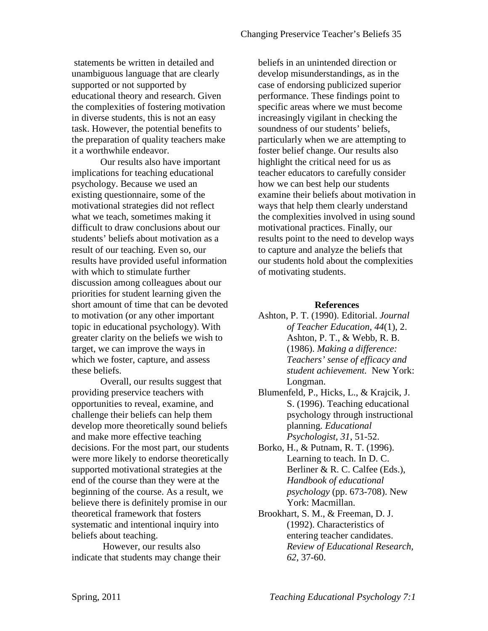statements be written in detailed and unambiguous language that are clearly supported or not supported by educational theory and research. Given the complexities of fostering motivation in diverse students, this is not an easy task. However, the potential benefits to the preparation of quality teachers make it a worthwhile endeavor.

Our results also have important implications for teaching educational psychology. Because we used an existing questionnaire, some of the motivational strategies did not reflect what we teach, sometimes making it difficult to draw conclusions about our students' beliefs about motivation as a result of our teaching. Even so, our results have provided useful information with which to stimulate further discussion among colleagues about our priorities for student learning given the short amount of time that can be devoted to motivation (or any other important topic in educational psychology). With greater clarity on the beliefs we wish to target, we can improve the ways in which we foster, capture, and assess these beliefs.

Overall, our results suggest that providing preservice teachers with opportunities to reveal, examine, and challenge their beliefs can help them develop more theoretically sound beliefs and make more effective teaching decisions. For the most part, our students were more likely to endorse theoretically supported motivational strategies at the end of the course than they were at the beginning of the course. As a result, we believe there is definitely promise in our theoretical framework that fosters systematic and intentional inquiry into beliefs about teaching.

 However, our results also indicate that students may change their beliefs in an unintended direction or develop misunderstandings, as in the case of endorsing publicized superior performance. These findings point to specific areas where we must become increasingly vigilant in checking the soundness of our students' beliefs, particularly when we are attempting to foster belief change. Our results also highlight the critical need for us as teacher educators to carefully consider how we can best help our students examine their beliefs about motivation in ways that help them clearly understand the complexities involved in using sound motivational practices. Finally, our results point to the need to develop ways to capture and analyze the beliefs that our students hold about the complexities of motivating students.

### **References**

- Ashton, P. T. (1990). Editorial. *Journal of Teacher Education, 44*(1), 2. Ashton, P. T., & Webb, R. B. (1986). *Making a difference: Teachers' sense of efficacy and student achievement.* New York: Longman.
- Blumenfeld, P., Hicks, L., & Krajcik, J. S. (1996). Teaching educational psychology through instructional planning. *Educational Psychologist, 31*, 51-52.
- Borko, H., & Putnam, R. T. (1996). Learning to teach. In D. C. Berliner & R. C. Calfee (Eds.), *Handbook of educational psychology* (pp. 673-708). New York: Macmillan.
- Brookhart, S. M., & Freeman, D. J. (1992). Characteristics of entering teacher candidates. *Review of Educational Research, 62,* 37-60.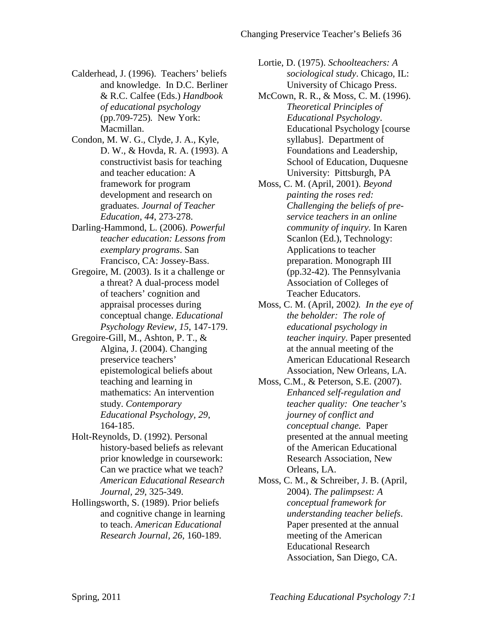- Calderhead, J. (1996). Teachers' beliefs and knowledge. In D.C. Berliner & R.C. Calfee (Eds.) *Handbook of educational psychology*  (pp.709-725)*.* New York: Macmillan.
- Condon, M. W. G., Clyde, J. A., Kyle, D. W., & Hovda, R. A. (1993). A constructivist basis for teaching and teacher education: A framework for program development and research on graduates. *Journal of Teacher Education, 44*, 273-278.
- Darling-Hammond, L. (2006). *Powerful teacher education: Lessons from exemplary programs*. San Francisco, CA: Jossey-Bass.
- Gregoire, M. (2003). Is it a challenge or a threat? A dual-process model of teachers' cognition and appraisal processes during conceptual change. *Educational Psychology Review, 15*, 147-179.
- Gregoire-Gill, M., Ashton, P. T., & Algina, J. (2004). Changing preservice teachers' epistemological beliefs about teaching and learning in mathematics: An intervention study. *Contemporary Educational Psychology, 29*, 164-185.
- Holt-Reynolds, D. (1992). Personal history-based beliefs as relevant prior knowledge in coursework: Can we practice what we teach? *American Educational Research Journal, 29*, 325-349.
- Hollingsworth, S. (1989). Prior beliefs and cognitive change in learning to teach. *American Educational Research Journal, 26*, 160-189.

Lortie, D. (1975). *Schoolteachers: A sociological study*. Chicago, IL: University of Chicago Press.

- McCown, R. R., & Moss, C. M. (1996). *Theoretical Principles of Educational Psychology*. Educational Psychology [course syllabus]. Department of Foundations and Leadership, School of Education, Duquesne University: Pittsburgh, PA
- Moss, C. M. (April, 2001). *Beyond painting the roses red: Challenging the beliefs of preservice teachers in an online community of inquiry.* In Karen Scanlon (Ed.), Technology: Applications to teacher preparation. Monograph III (pp.32-42). The Pennsylvania Association of Colleges of Teacher Educators.
- Moss, C. M. (April, 2002*). In the eye of the beholder: The role of educational psychology in teacher inquiry*. Paper presented at the annual meeting of the American Educational Research Association, New Orleans, LA.
- Moss, C.M., & Peterson, S.E. (2007). *Enhanced self-regulation and teacher quality: One teacher's journey of conflict and conceptual change.* Paper presented at the annual meeting of the American Educational Research Association, New Orleans, LA.
- Moss, C. M., & Schreiber, J. B. (April, 2004). *The palimpsest: A conceptual framework for understanding teacher beliefs*. Paper presented at the annual meeting of the American Educational Research Association, San Diego, CA.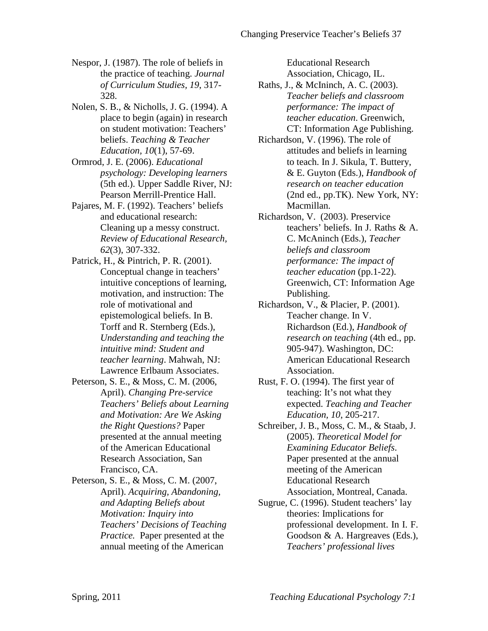- Nespor, J. (1987). The role of beliefs in the practice of teaching. *Journal of Curriculum Studies, 19*, 317- 328.
- Nolen, S. B., & Nicholls, J. G. (1994). A place to begin (again) in research on student motivation: Teachers' beliefs. *Teaching & Teacher Education, 10*(1), 57-69.
- Ormrod, J. E. (2006). *Educational psychology: Developing learners* (5th ed.). Upper Saddle River, NJ: Pearson Merrill-Prentice Hall.
- Pajares, M. F. (1992). Teachers' beliefs and educational research: Cleaning up a messy construct. *Review of Educational Research, 62*(3), 307-332.
- Patrick, H., & Pintrich, P. R. (2001). Conceptual change in teachers' intuitive conceptions of learning, motivation, and instruction: The role of motivational and epistemological beliefs. In B. Torff and R. Sternberg (Eds.), *Understanding and teaching the intuitive mind: Student and teacher learning*. Mahwah, NJ: Lawrence Erlbaum Associates.
- Peterson, S. E., & Moss, C. M. (2006, April). *Changing Pre-service Teachers' Beliefs about Learning and Motivation: Are We Asking the Right Questions?* Paper presented at the annual meeting of the American Educational Research Association, San Francisco, CA.
- Peterson, S. E., & Moss, C. M. (2007, April). *Acquiring, Abandoning, and Adapting Beliefs about Motivation: Inquiry into Teachers' Decisions of Teaching Practice.* Paper presented at the annual meeting of the American

Educational Research

Association, Chicago, IL.

- Raths, J., & McIninch, A. C. (2003). *Teacher beliefs and classroom performance: The impact of teacher education*. Greenwich, CT: Information Age Publishing.
- Richardson, V. (1996). The role of attitudes and beliefs in learning to teach. In J. Sikula, T. Buttery, & E. Guyton (Eds.), *Handbook of research on teacher education* (2nd ed., pp.TK). New York, NY: Macmillan.
- Richardson, V. (2003). Preservice teachers' beliefs. In J. Raths & A. C. McAninch (Eds.), *Teacher beliefs and classroom performance: The impact of teacher education* (pp.1-22). Greenwich, CT: Information Age Publishing.
- Richardson, V., & Placier, P. (2001). Teacher change. In V. Richardson (Ed.), *Handbook of research on teaching* (4th ed., pp. 905-947). Washington, DC: American Educational Research Association.
- Rust, F. O. (1994). The first year of teaching: It's not what they expected. *Teaching and Teacher Education, 10*, 205-217.
- Schreiber, J. B., Moss, C. M., & Staab, J. (2005). *Theoretical Model for Examining Educator Beliefs*. Paper presented at the annual meeting of the American Educational Research Association, Montreal, Canada.
- Sugrue, C. (1996). Student teachers' lay theories: Implications for professional development. In I. F. Goodson & A. Hargreaves (Eds.), *Teachers' professional lives*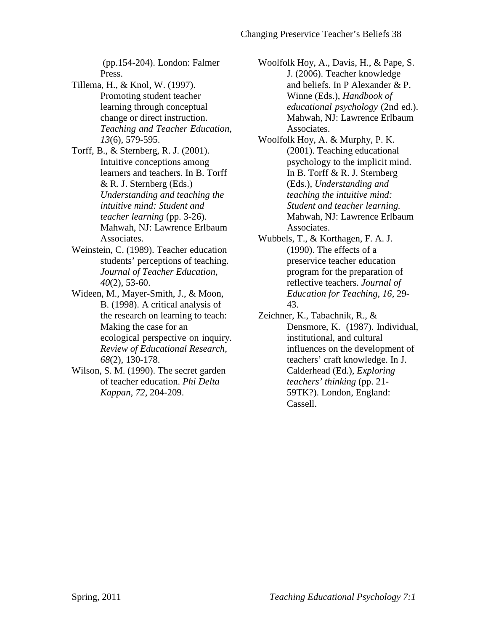(pp.154-204). London: Falmer Press.

Tillema, H., & Knol, W. (1997). Promoting student teacher learning through conceptual change or direct instruction. *Teaching and Teacher Education, 13*(6), 579-595.

Torff, B., & Sternberg, R. J. (2001). Intuitive conceptions among learners and teachers. In B. Torff & R. J. Sternberg (Eds.) *Understanding and teaching the intuitive mind: Student and teacher learning* (pp. 3-26)*.*  Mahwah, NJ: Lawrence Erlbaum Associates.

- Weinstein, C. (1989). Teacher education students' perceptions of teaching. *Journal of Teacher Education, 40*(2), 53-60.
- Wideen, M., Mayer-Smith, J., & Moon, B. (1998). A critical analysis of the research on learning to teach: Making the case for an ecological perspective on inquiry. *Review of Educational Research, 68*(2), 130-178.
- Wilson, S. M. (1990). The secret garden of teacher education. *Phi Delta Kappan, 72,* 204-209.

Woolfolk Hoy, A., Davis, H., & Pape, S. J. (2006). Teacher knowledge and beliefs. In P Alexander & P. Winne (Eds.), *Handbook of educational psychology* (2nd ed.). Mahwah, NJ: Lawrence Erlbaum Associates.

- Woolfolk Hoy, A. & Murphy, P. K. (2001). Teaching educational psychology to the implicit mind. In B. Torff & R. J. Sternberg (Eds.), *Understanding and teaching the intuitive mind: Student and teacher learning.*  Mahwah, NJ: Lawrence Erlbaum Associates.
- Wubbels, T., & Korthagen, F. A. J. (1990). The effects of a preservice teacher education program for the preparation of reflective teachers. *Journal of Education for Teaching*, *16,* 29- 43.
- Zeichner, K., Tabachnik, R., & Densmore, K. (1987). Individual, institutional, and cultural influences on the development of teachers' craft knowledge. In J. Calderhead (Ed.), *Exploring teachers' thinking* (pp. 21- 59TK?). London, England: Cassell.